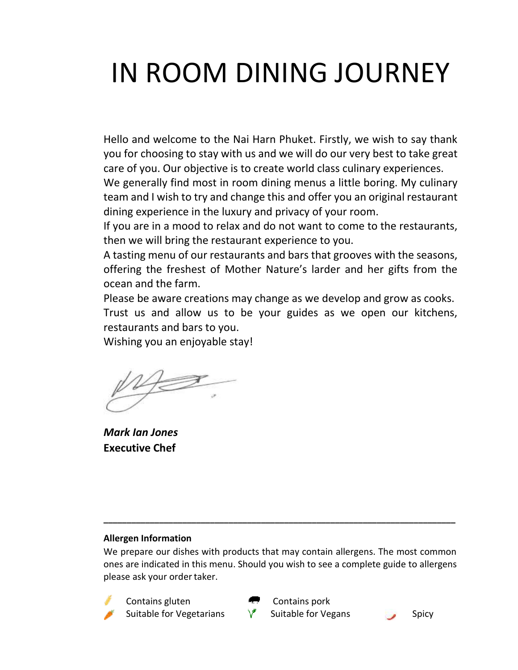# IN ROOM DINING JOURNEY

Hello and welcome to the Nai Harn Phuket. Firstly, we wish to say thank you for choosing to stay with us and we will do our very best to take great care of you. Our objective is to create world class culinary experiences.

We generally find most in room dining menus a little boring. My culinary team and I wish to try and change this and offer you an original restaurant dining experience in the luxury and privacy of your room.

If you are in a mood to relax and do not want to come to the restaurants, then we will bring the restaurant experience to you.

A tasting menu of our restaurants and bars that grooves with the seasons, offering the freshest of Mother Nature's larder and her gifts from the ocean and the farm.

Please be aware creations may change as we develop and grow as cooks. Trust us and allow us to be your guides as we open our kitchens, restaurants and bars to you.

Wishing you an enjoyable stay!

*Mark Ian Jones*  **Executive Chef** 

# **Allergen Information**

We prepare our dishes with products that may contain allergens. The most common ones are indicated in this menu. Should you wish to see a complete guide to allergens please ask your order taker.

**\_\_\_\_\_\_\_\_\_\_\_\_\_\_\_\_\_\_\_\_\_\_\_\_\_\_\_\_\_\_\_\_\_\_\_\_\_\_\_\_\_\_\_\_\_\_\_\_\_\_\_\_\_\_\_\_\_\_\_\_\_\_\_\_\_\_\_\_\_\_\_\_\_\_\_\_**

 Contains gluten Contains pork Suitable for Vegetarians  $\forall$  Suitable for Vegans Spicy



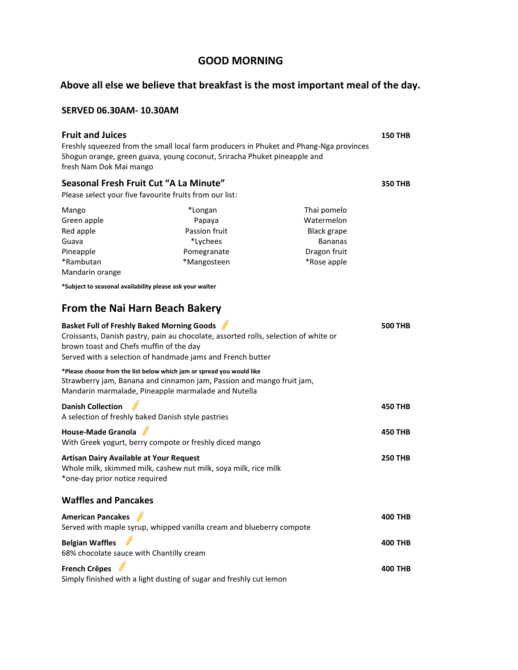# **GOOD MORNING**

# **Above all else we believe that breakfast is the most important meal of the day.**

#### **SERVED 06.30AM- 10.30AM**

| <b>Fruit and Juices</b><br>fresh Nam Dok Mai mango                                           | Freshly squeezed from the small local farm producers in Phuket and Phang-Nga provinces<br>Shogun orange, green guava, young coconut, Sriracha Phuket pineapple and                                    |                                                                                                  | <b>150 THB</b> |
|----------------------------------------------------------------------------------------------|-------------------------------------------------------------------------------------------------------------------------------------------------------------------------------------------------------|--------------------------------------------------------------------------------------------------|----------------|
| Seasonal Fresh Fruit Cut "A La Minute"                                                       |                                                                                                                                                                                                       |                                                                                                  | <b>350 THB</b> |
| Please select your five favourite fruits from our list:                                      |                                                                                                                                                                                                       |                                                                                                  |                |
| Mango<br>Green apple<br>Red apple<br>Guava<br>Pineapple<br>*Rambutan                         | *Longan<br>Papaya<br>Passion fruit<br>*Lychees<br>Pomegranate<br>*Mangosteen                                                                                                                          | Thai pomelo<br>Watermelon<br><b>Black grape</b><br><b>Bananas</b><br>Dragon fruit<br>*Rose apple |                |
| Mandarin orange                                                                              |                                                                                                                                                                                                       |                                                                                                  |                |
| *Subject to seasonal availability please ask your waiter                                     |                                                                                                                                                                                                       |                                                                                                  |                |
| <b>From the Nai Harn Beach Bakery</b>                                                        |                                                                                                                                                                                                       |                                                                                                  |                |
| <b>Basket Full of Freshly Baked Morning Goods</b><br>brown toast and Chefs muffin of the day | Croissants, Danish pastry, pain au chocolate, assorted rolls, selection of white or<br>Served with a selection of handmade jams and French butter                                                     |                                                                                                  | <b>500 THB</b> |
|                                                                                              | *Please choose from the list below which jam or spread you would like<br>Strawberry jam, Banana and cinnamon jam, Passion and mango fruit jam,<br>Mandarin marmalade, Pineapple marmalade and Nutella |                                                                                                  |                |
| <b>Danish Collection</b><br>A selection of freshly baked Danish style pastries               |                                                                                                                                                                                                       |                                                                                                  | <b>450 THB</b> |
| <b>House-Made Granola</b>                                                                    | With Greek yogurt, berry compote or freshly diced mango                                                                                                                                               |                                                                                                  | <b>450 THB</b> |
| <b>Artisan Dairy Available at Your Request</b><br>*one-day prior notice required             | Whole milk, skimmed milk, cashew nut milk, soya milk, rice milk                                                                                                                                       |                                                                                                  | <b>250 THB</b> |
| <b>Waffles and Pancakes</b>                                                                  |                                                                                                                                                                                                       |                                                                                                  |                |
| <b>American Pancakes</b>                                                                     | Served with maple syrup, whipped vanilla cream and blueberry compote                                                                                                                                  |                                                                                                  | <b>400 THB</b> |
| <b>Belgian Waffles</b><br>68% chocolate sauce with Chantilly cream                           |                                                                                                                                                                                                       |                                                                                                  | 400 THB        |
| <b>French Crêpes</b>                                                                         | Simply finished with a light dusting of sugar and freshly cut lemon                                                                                                                                   |                                                                                                  | 400 THB        |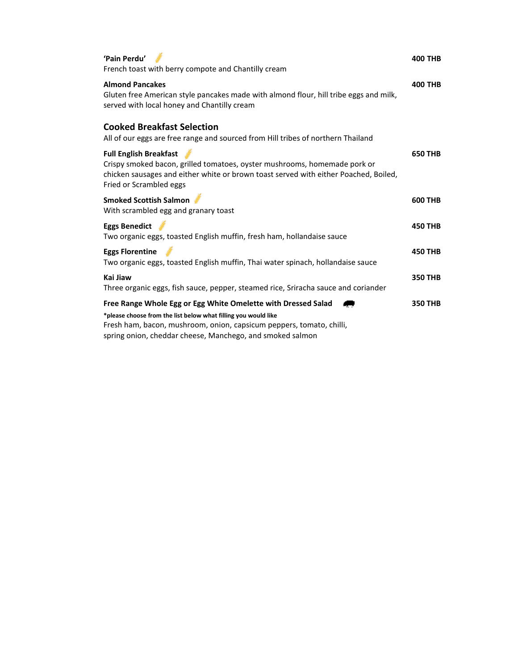| 'Pain Perdu'<br>French toast with berry compote and Chantilly cream                                                                                                                                                                                                                    | <b>400 THB</b> |
|----------------------------------------------------------------------------------------------------------------------------------------------------------------------------------------------------------------------------------------------------------------------------------------|----------------|
| <b>Almond Pancakes</b><br>Gluten free American style pancakes made with almond flour, hill tribe eggs and milk,<br>served with local honey and Chantilly cream                                                                                                                         | <b>400 THB</b> |
| <b>Cooked Breakfast Selection</b><br>All of our eggs are free range and sourced from Hill tribes of northern Thailand                                                                                                                                                                  |                |
| <b>Full English Breakfast</b><br>Crispy smoked bacon, grilled tomatoes, oyster mushrooms, homemade pork or<br>chicken sausages and either white or brown toast served with either Poached, Boiled,<br>Fried or Scrambled eggs                                                          | <b>650 THB</b> |
| <b>Smoked Scottish Salmon</b><br>With scrambled egg and granary toast                                                                                                                                                                                                                  | <b>600 THB</b> |
| <b>Eggs Benedict</b><br>Two organic eggs, toasted English muffin, fresh ham, hollandaise sauce                                                                                                                                                                                         | <b>450 THB</b> |
| <b>Eggs Florentine</b><br>Two organic eggs, toasted English muffin, Thai water spinach, hollandaise sauce                                                                                                                                                                              | <b>450 THB</b> |
| Kai Jiaw<br>Three organic eggs, fish sauce, pepper, steamed rice, Sriracha sauce and coriander                                                                                                                                                                                         | <b>350 THB</b> |
| Free Range Whole Egg or Egg White Omelette with Dressed Salad<br>*please choose from the list below what filling you would like<br>Fresh ham, bacon, mushroom, onion, capsicum peppers, tomato, chilli,<br>وبالمتحال وبالمستند المتحدث والمستحلة المتحدث والمستحلف والمستحلف والمستحلف | <b>350 THB</b> |

spring onion, cheddar cheese, Manchego, and smoked salmon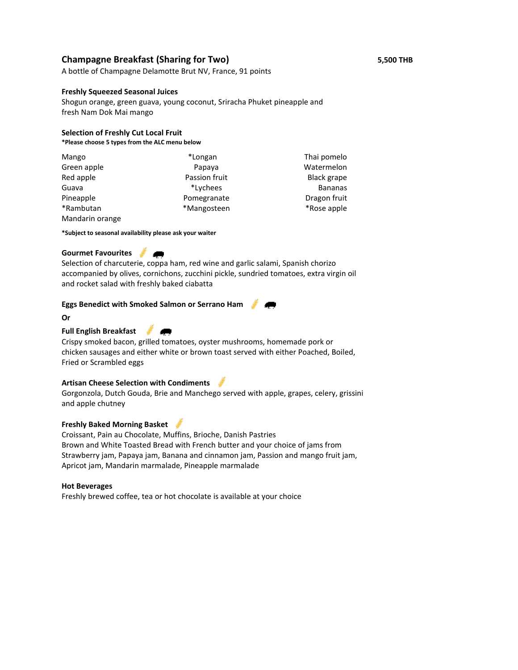### **Champagne Breakfast (Sharing for Two) 5,500 THB**

A bottle of Champagne Delamotte Brut NV, France, 91 points

#### **Freshly Squeezed Seasonal Juices**

Shogun orange, green guava, young coconut, Sriracha Phuket pineapple and fresh Nam Dok Mai mango

#### **Selection of Freshly Cut Local Fruit**

**\*Please choose 5 types from the ALC menu below**

| Mango           | *Longan       | Thai pomelo        |
|-----------------|---------------|--------------------|
| Green apple     | Papaya        | Watermelon         |
| Red apple       | Passion fruit | <b>Black grape</b> |
| Guava           | *Lychees      | <b>Bananas</b>     |
| Pineapple       | Pomegranate   | Dragon fruit       |
| *Rambutan       | *Mangosteen   | *Rose apple        |
| Mandarin orange |               |                    |

**\*Subject to seasonal availability please ask your waiter** 

#### **Gourmet Favourites**

Selection of charcuterie, coppa ham, red wine and garlic salami, Spanish chorizo accompanied by olives, cornichons, zucchini pickle, sundried tomatoes, extra virgin oil and rocket salad with freshly baked ciabatta

#### **Eggs Benedict with Smoked Salmon or Serrano Ham**

**Or**

### **Full English Breakfast**

Crispy smoked bacon, grilled tomatoes, oyster mushrooms, homemade pork or chicken sausages and either white or brown toast served with either Poached, Boiled, Fried or Scrambled eggs

#### **Artisan Cheese Selection with Condiments**

Gorgonzola, Dutch Gouda, Brie and Manchego served with apple, grapes, celery, grissini and apple chutney

#### **Freshly Baked Morning Basket**

Croissant, Pain au Chocolate, Muffins, Brioche, Danish Pastries Brown and White Toasted Bread with French butter and your choice of jams from Strawberry jam, Papaya jam, Banana and cinnamon jam, Passion and mango fruit jam, Apricot jam, Mandarin marmalade, Pineapple marmalade

#### **Hot Beverages**

Freshly brewed coffee, tea or hot chocolate is available at your choice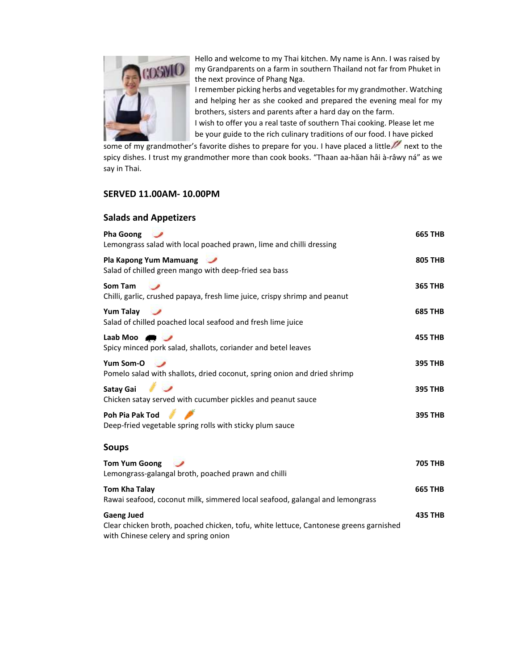

Hello and welcome to my Thai kitchen. My name is Ann. I was raised by my Grandparents on a farm in southern Thailand not far from Phuket in the next province o[f Phang Nga.](https://en.wikipedia.org/wiki/Phang_Nga_Province)

I remember picking herbs and vegetables for my grandmother. Watching and helping her as she cooked and prepared the evening meal for my brothers, sisters and parents after a hard day on the farm.

I wish to offer you a real taste of southern Thai cooking. Please let me be your guide to the rich culinary traditions of our food. I have picked

some of my grandmother's favorite dishes to prepare for you. I have placed a little  $\mathbb Z$  next to the spicy dishes. I trust my grandmother more than cook books. "Thaan aa-hăan hâi à-râwy ná" as we say in Thai.

#### **SERVED 11.00AM- 10.00PM**

#### **Salads and Appetizers**

| <b>Pha Goong</b><br>Lemongrass salad with local poached prawn, lime and chilli dressing                     | <b>665 THB</b> |
|-------------------------------------------------------------------------------------------------------------|----------------|
| Pla Kapong Yum Mamuang<br>Salad of chilled green mango with deep-fried sea bass                             | <b>805 THB</b> |
| Som Tam<br>Chilli, garlic, crushed papaya, fresh lime juice, crispy shrimp and peanut                       | <b>365 THB</b> |
| <b>Yum Talay</b><br>$\overline{\phantom{a}}$<br>Salad of chilled poached local seafood and fresh lime juice | <b>685 THB</b> |
| Laab Moo $\blacksquare$<br>Spicy minced pork salad, shallots, coriander and betel leaves                    | <b>455 THB</b> |
| Yum Som-O<br>Pomelo salad with shallots, dried coconut, spring onion and dried shrimp                       | <b>395 THB</b> |
| <b>Satay Gai</b><br>Chicken satay served with cucumber pickles and peanut sauce                             | <b>395 THB</b> |
| Poh Pia Pak Tod<br>Deep-fried vegetable spring rolls with sticky plum sauce                                 | <b>395 THB</b> |
| <b>Soups</b>                                                                                                |                |
| <b>Tom Yum Goong</b><br>Lemongrass-galangal broth, poached prawn and chilli                                 | <b>705 THB</b> |
| <b>Tom Kha Talay</b><br>Rawai seafood, coconut milk, simmered local seafood, galangal and lemongrass        | <b>665 THB</b> |
| <b>Gaeng Jued</b><br>Clear chicken broth, poached chicken, tofu, white lettuce, Cantonese greens garnished  | <b>435 THB</b> |

with Chinese celery and spring onion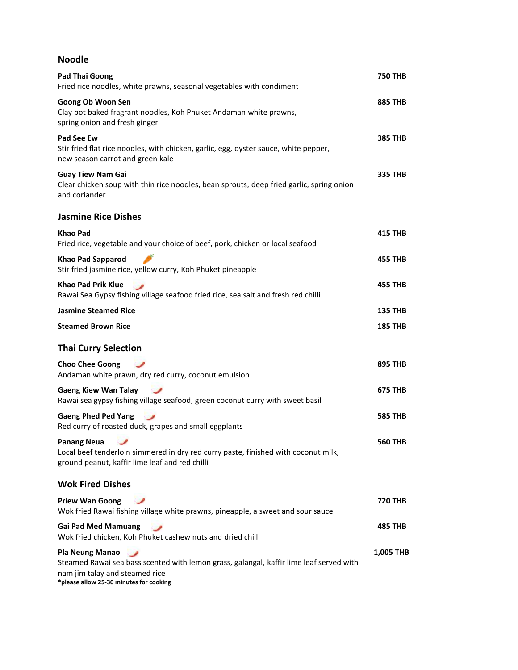# **Noodle**

| <b>Pad Thai Goong</b><br>Fried rice noodles, white prawns, seasonal vegetables with condiment                                                                                                  | <b>750 THB</b> |
|------------------------------------------------------------------------------------------------------------------------------------------------------------------------------------------------|----------------|
| Goong Ob Woon Sen<br>Clay pot baked fragrant noodles, Koh Phuket Andaman white prawns,<br>spring onion and fresh ginger                                                                        | <b>885 THB</b> |
| Pad See Ew<br>Stir fried flat rice noodles, with chicken, garlic, egg, oyster sauce, white pepper,<br>new season carrot and green kale                                                         | <b>385 THB</b> |
| <b>Guay Tiew Nam Gai</b><br>Clear chicken soup with thin rice noodles, bean sprouts, deep fried garlic, spring onion<br>and coriander                                                          | 335 THB        |
| <b>Jasmine Rice Dishes</b>                                                                                                                                                                     |                |
| <b>Khao Pad</b><br>Fried rice, vegetable and your choice of beef, pork, chicken or local seafood                                                                                               | 415 THB        |
| <b>Khao Pad Sapparod</b><br>Stir fried jasmine rice, yellow curry, Koh Phuket pineapple                                                                                                        | 455 THB        |
| Khao Pad Prik Klue<br>Rawai Sea Gypsy fishing village seafood fried rice, sea salt and fresh red chilli                                                                                        | 455 THB        |
| <b>Jasmine Steamed Rice</b>                                                                                                                                                                    | <b>135 THB</b> |
| <b>Steamed Brown Rice</b>                                                                                                                                                                      | <b>185 THB</b> |
| <b>Thai Curry Selection</b>                                                                                                                                                                    |                |
| <b>Choo Chee Goong</b><br>Andaman white prawn, dry red curry, coconut emulsion                                                                                                                 | 895 THB        |
| <b>Gaeng Kiew Wan Talay</b><br>Rawai sea gypsy fishing village seafood, green coconut curry with sweet basil                                                                                   | 675 THB        |
| <b>Gaeng Phed Ped Yang</b><br>Red curry of roasted duck, grapes and small eggplants                                                                                                            | <b>585 THB</b> |
| <b>Panang Neua</b><br>Local beef tenderloin simmered in dry red curry paste, finished with coconut milk,<br>ground peanut, kaffir lime leaf and red chilli                                     | <b>560 THB</b> |
| <b>Wok Fired Dishes</b>                                                                                                                                                                        |                |
| <b>Priew Wan Goong</b><br>Wok fried Rawai fishing village white prawns, pineapple, a sweet and sour sauce                                                                                      | <b>720 THB</b> |
| <b>Gai Pad Med Mamuang</b><br>Wok fried chicken, Koh Phuket cashew nuts and dried chilli                                                                                                       | 485 THB        |
| <b>Pla Neung Manao</b><br>Steamed Rawai sea bass scented with lemon grass, galangal, kaffir lime leaf served with<br>nam jim talay and steamed rice<br>*please allow 25-30 minutes for cooking | 1,005 THB      |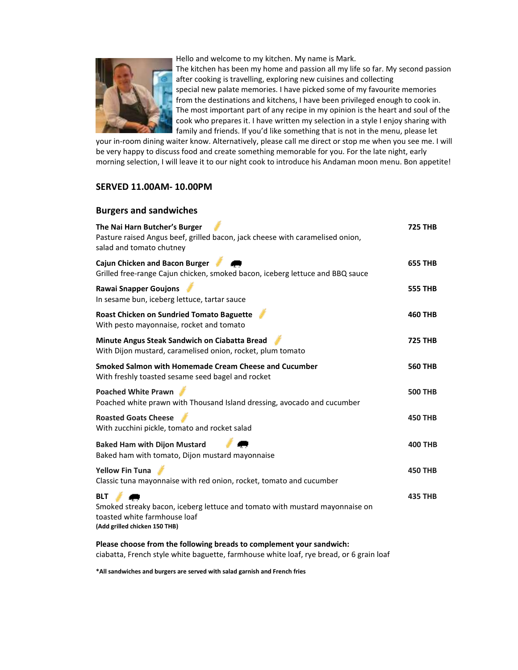Hello and welcome to my kitchen. My name is Mark.



 The kitchen has been my home and passion all my life so far. My second passion after cooking is travelling, exploring new cuisines and collecting special new palate memories. I have picked some of my favourite memories from the destinations and kitchens, I have been privileged enough to cook in. The most important part of any recipe in my opinion is the heart and soul of the cook who prepares it. I have written my selection in a style I enjoy sharing with family and friends. If you'd like something that is not in the menu, please let

your in-room dining waiter know. Alternatively, please call me direct or stop me when you see me. I will be very happy to discuss food and create something memorable for you. For the late night, early morning selection, I will leave it to our night cook to introduce his Andaman moon menu. Bon appetite!

#### **SERVED 11.00AM- 10.00PM**

| <b>Burgers and sandwiches</b>                                                                                                                              |                |
|------------------------------------------------------------------------------------------------------------------------------------------------------------|----------------|
| The Nai Harn Butcher's Burger<br>Pasture raised Angus beef, grilled bacon, jack cheese with caramelised onion,<br>salad and tomato chutney                 | <b>725 THB</b> |
| <b>Cajun Chicken and Bacon Burger</b><br>Grilled free-range Cajun chicken, smoked bacon, iceberg lettuce and BBQ sauce                                     | <b>655 THB</b> |
| <b>Rawai Snapper Goujons</b><br>In sesame bun, iceberg lettuce, tartar sauce                                                                               | <b>555 THB</b> |
| <b>Roast Chicken on Sundried Tomato Baguette</b><br>With pesto mayonnaise, rocket and tomato                                                               | <b>460 THB</b> |
| Minute Angus Steak Sandwich on Ciabatta Bread<br>With Dijon mustard, caramelised onion, rocket, plum tomato                                                | <b>725 THB</b> |
| Smoked Salmon with Homemade Cream Cheese and Cucumber<br>With freshly toasted sesame seed bagel and rocket                                                 | <b>560 THB</b> |
| <b>Poached White Prawn</b><br>Poached white prawn with Thousand Island dressing, avocado and cucumber                                                      | <b>500 THB</b> |
| <b>Roasted Goats Cheese</b><br>With zucchini pickle, tomato and rocket salad                                                                               | <b>450 THB</b> |
| <b>Baked Ham with Dijon Mustard</b><br>Baked ham with tomato, Dijon mustard mayonnaise                                                                     | <b>400 THB</b> |
| <b>Yellow Fin Tuna</b><br>Classic tuna mayonnaise with red onion, rocket, tomato and cucumber                                                              | <b>450 THB</b> |
| <b>BLT</b><br>Smoked streaky bacon, iceberg lettuce and tomato with mustard mayonnaise on<br>toasted white farmhouse loaf<br>(Add grilled chicken 150 THB) | <b>435 THB</b> |
| Please choose from the following breads to complement your sandwich:                                                                                       |                |

ciabatta, French style white baguette, farmhouse white loaf, rye bread, or 6 grain loaf

**\*All sandwiches and burgers are served with salad garnish and French fries**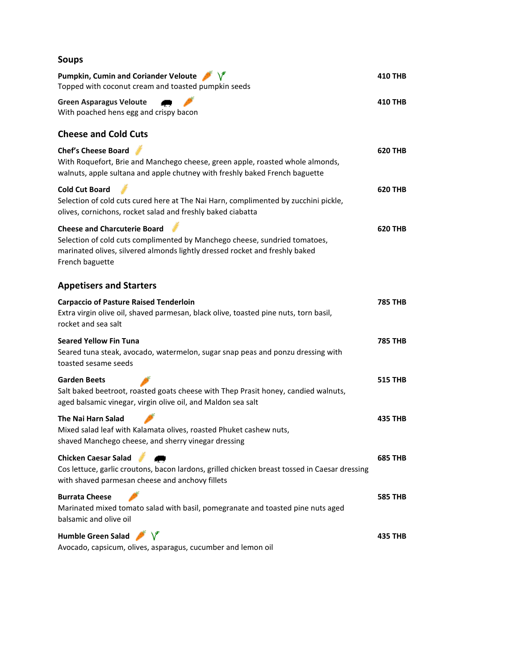| <b>Soups</b>                                                                                                                                                                                                        |                |
|---------------------------------------------------------------------------------------------------------------------------------------------------------------------------------------------------------------------|----------------|
| Pumpkin, Cumin and Coriander Veloute V<br>Topped with coconut cream and toasted pumpkin seeds                                                                                                                       | <b>410 THB</b> |
| <b>Green Asparagus Veloute</b><br>With poached hens egg and crispy bacon                                                                                                                                            | <b>410 THB</b> |
| <b>Cheese and Cold Cuts</b>                                                                                                                                                                                         |                |
| <b>Chef's Cheese Board</b><br>With Roquefort, Brie and Manchego cheese, green apple, roasted whole almonds,<br>walnuts, apple sultana and apple chutney with freshly baked French baguette                          | <b>620 THB</b> |
| <b>Cold Cut Board</b><br>Selection of cold cuts cured here at The Nai Harn, complimented by zucchini pickle,<br>olives, cornichons, rocket salad and freshly baked ciabatta                                         | <b>620 THB</b> |
| <b>Cheese and Charcuterie Board</b><br>Selection of cold cuts complimented by Manchego cheese, sundried tomatoes,<br>marinated olives, silvered almonds lightly dressed rocket and freshly baked<br>French baguette | <b>620 THB</b> |
| <b>Appetisers and Starters</b>                                                                                                                                                                                      |                |
| <b>Carpaccio of Pasture Raised Tenderloin</b><br>Extra virgin olive oil, shaved parmesan, black olive, toasted pine nuts, torn basil,<br>rocket and sea salt                                                        | <b>785 THB</b> |
| <b>Seared Yellow Fin Tuna</b><br>Seared tuna steak, avocado, watermelon, sugar snap peas and ponzu dressing with<br>toasted sesame seeds                                                                            | <b>785 THB</b> |
| <b>Garden Beets</b><br>Salt baked beetroot, roasted goats cheese with Thep Prasit honey, candied walnuts,<br>aged balsamic vinegar, virgin olive oil, and Maldon sea salt                                           | <b>515 THB</b> |
| The Nai Harn Salad<br>Mixed salad leaf with Kalamata olives, roasted Phuket cashew nuts,<br>shaved Manchego cheese, and sherry vinegar dressing                                                                     | 435 THB        |
| <b>Chicken Caesar Salad</b><br>Cos lettuce, garlic croutons, bacon lardons, grilled chicken breast tossed in Caesar dressing<br>with shaved parmesan cheese and anchovy fillets                                     | <b>685 THB</b> |
| <b>Burrata Cheese</b><br>Marinated mixed tomato salad with basil, pomegranate and toasted pine nuts aged<br>balsamic and olive oil                                                                                  | <b>585 THB</b> |
| Humble Green Salad V<br>Avocado, capsicum, olives, asparagus, cucumber and lemon oil                                                                                                                                | 435 THB        |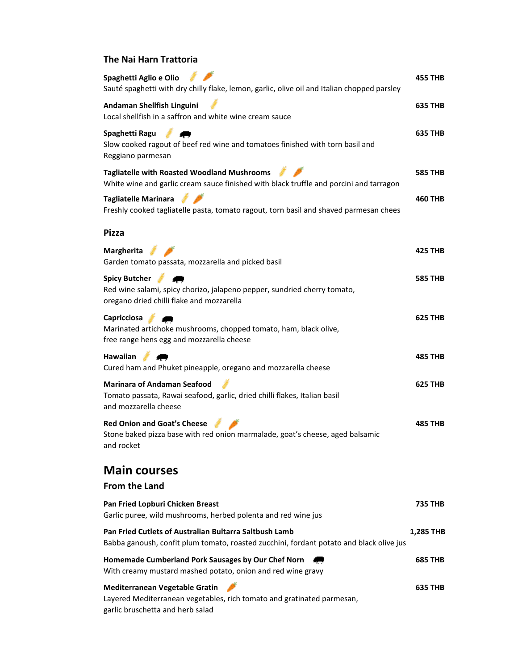#### **The Nai Harn Trattoria**

| Spaghetti Aglio e Olio<br>Sauté spaghetti with dry chilly flake, lemon, garlic, olive oil and Italian chopped parsley                             | 455 THB        |
|---------------------------------------------------------------------------------------------------------------------------------------------------|----------------|
| Andaman Shellfish Linguini<br>Local shellfish in a saffron and white wine cream sauce                                                             | 635 THB        |
| Spaghetti Ragu<br>Slow cooked ragout of beef red wine and tomatoes finished with torn basil and<br>Reggiano parmesan                              | <b>635 THB</b> |
| <b>Tagliatelle with Roasted Woodland Mushrooms</b><br>White wine and garlic cream sauce finished with black truffle and porcini and tarragon      | <b>585 THB</b> |
| <b>Tagliatelle Marinara</b><br>Freshly cooked tagliatelle pasta, tomato ragout, torn basil and shaved parmesan chees                              | 460 THB        |
| <b>Pizza</b>                                                                                                                                      |                |
| <b>Margherita</b><br>Garden tomato passata, mozzarella and picked basil                                                                           | 425 THB        |
| <b>Spicy Butcher</b><br>Red wine salami, spicy chorizo, jalapeno pepper, sundried cherry tomato,<br>oregano dried chilli flake and mozzarella     | <b>585 THB</b> |
| <b>Capricciosa</b><br>Marinated artichoke mushrooms, chopped tomato, ham, black olive,<br>free range hens egg and mozzarella cheese               | 625 THB        |
| Hawaiian<br>Cured ham and Phuket pineapple, oregano and mozzarella cheese                                                                         | 485 THB        |
| <b>Marinara of Andaman Seafood</b><br>Tomato passata, Rawai seafood, garlic, dried chilli flakes, Italian basil<br>and mozzarella cheese          | 625 THB        |
| <b>Red Onion and Goat's Cheese</b><br>Stone baked pizza base with red onion marmalade, goat's cheese, aged balsamic<br>and rocket                 | 485 THB        |
| <b>Main courses</b>                                                                                                                               |                |
| <b>From the Land</b>                                                                                                                              |                |
| Pan Fried Lopburi Chicken Breast<br>Garlic puree, wild mushrooms, herbed polenta and red wine jus                                                 | 735 THB        |
| Pan Fried Cutlets of Australian Bultarra Saltbush Lamb<br>Babba ganoush, confit plum tomato, roasted zucchini, fordant potato and black olive jus | 1,285 THB      |
| Homemade Cumberland Pork Sausages by Our Chef Norn<br>With creamy mustard mashed potato, onion and red wine gravy                                 | <b>685 THB</b> |
| Mediterranean Vegetable Gratin<br>Layered Mediterranean vegetables, rich tomato and gratinated parmesan,<br>garlic bruschetta and herb salad      | 635 THB        |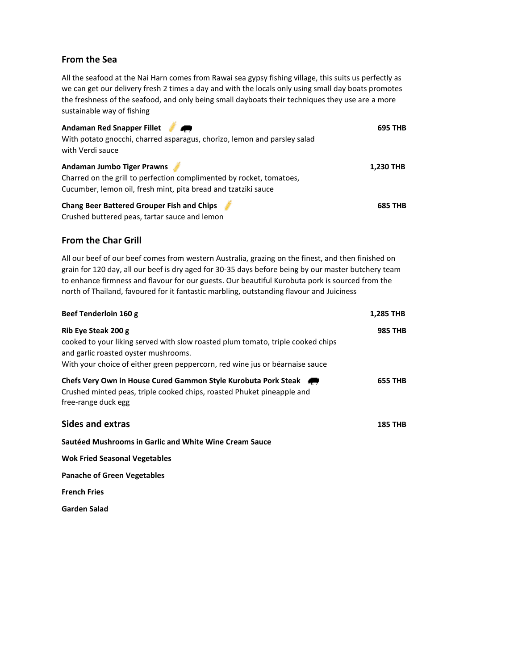#### **From the Sea**

All the seafood at the Nai Harn comes from Rawai sea gypsy fishing village, this suits us perfectly as we can get our delivery fresh 2 times a day and with the locals only using small day boats promotes the freshness of the seafood, and only being small dayboats their techniques they use are a more sustainable way of fishing

| Andaman Red Snapper Fillet<br>With potato gnocchi, charred asparagus, chorizo, lemon and parsley salad<br>with Verdi sauce                                                  | 695 THB        |
|-----------------------------------------------------------------------------------------------------------------------------------------------------------------------------|----------------|
| <b>Andaman Jumbo Tiger Prawns</b><br>Charred on the grill to perfection complimented by rocket, tomatoes,<br>Cucumber, lemon oil, fresh mint, pita bread and tzatziki sauce | 1,230 THB      |
| <b>Chang Beer Battered Grouper Fish and Chips</b><br>Crushed buttered peas, tartar sauce and lemon                                                                          | <b>685 THB</b> |

#### **From the Char Grill**

All our beef of our beef comes from western Australia, grazing on the finest, and then finished on grain for 120 day, all our beef is dry aged for 30-35 days before being by our master butchery team to enhance firmness and flavour for our guests. Our beautiful Kurobuta pork is sourced from the north of Thailand, favoured for it fantastic marbling, outstanding flavour and Juiciness

| Beef Tenderloin 160 g                                                                                                                                                                                                          | <b>1,285 THB</b> |
|--------------------------------------------------------------------------------------------------------------------------------------------------------------------------------------------------------------------------------|------------------|
| Rib Eye Steak 200 g<br>cooked to your liking served with slow roasted plum tomato, triple cooked chips<br>and garlic roasted oyster mushrooms.<br>With your choice of either green peppercorn, red wine jus or béarnaise sauce | <b>985 THB</b>   |
| Chefs Very Own in House Cured Gammon Style Kurobuta Pork Steak<br>Crushed minted peas, triple cooked chips, roasted Phuket pineapple and<br>free-range duck egg                                                                | <b>655 THB</b>   |
| Sides and extras                                                                                                                                                                                                               | <b>185 THB</b>   |
| Sautéed Mushrooms in Garlic and White Wine Cream Sauce                                                                                                                                                                         |                  |
| <b>Wok Fried Seasonal Vegetables</b>                                                                                                                                                                                           |                  |
| <b>Panache of Green Vegetables</b>                                                                                                                                                                                             |                  |
| <b>French Fries</b>                                                                                                                                                                                                            |                  |
| Garden Salad                                                                                                                                                                                                                   |                  |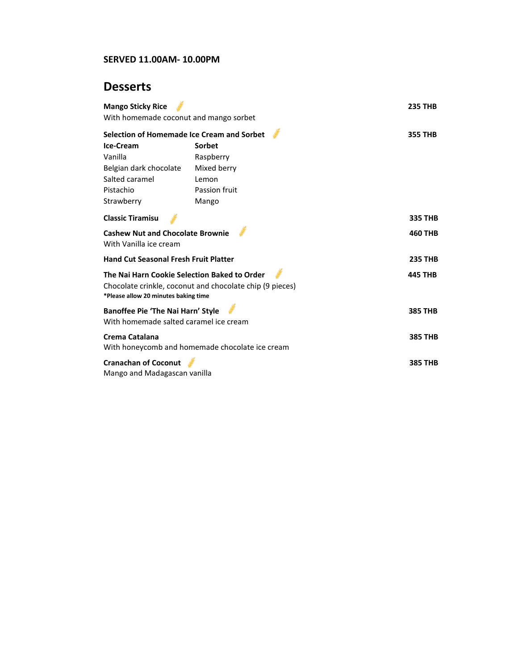#### **SERVED 11.00AM- 10.00PM**

# **Desserts**

| <b>Mango Sticky Rice</b><br>With homemade coconut and mango sorbet                                                                               |                                                 | <b>235 THB</b> |
|--------------------------------------------------------------------------------------------------------------------------------------------------|-------------------------------------------------|----------------|
| Selection of Homemade Ice Cream and Sorbet                                                                                                       |                                                 | <b>355 THB</b> |
| Ice-Cream                                                                                                                                        | Sorbet                                          |                |
| Vanilla                                                                                                                                          | Raspberry                                       |                |
| Belgian dark chocolate                                                                                                                           | Mixed berry                                     |                |
| Salted caramel                                                                                                                                   | Lemon                                           |                |
| Pistachio                                                                                                                                        | Passion fruit                                   |                |
| Strawberry                                                                                                                                       | Mango                                           |                |
| <b>Classic Tiramisu</b>                                                                                                                          |                                                 | <b>335 THB</b> |
| <b>Cashew Nut and Chocolate Brownie</b><br>With Vanilla ice cream                                                                                |                                                 | <b>460 THB</b> |
| <b>Hand Cut Seasonal Fresh Fruit Platter</b>                                                                                                     |                                                 | <b>235 THB</b> |
| The Nai Harn Cookie Selection Baked to Order<br>Chocolate crinkle, coconut and chocolate chip (9 pieces)<br>*Please allow 20 minutes baking time |                                                 | <b>445 THB</b> |
| Banoffee Pie 'The Nai Harn' Style<br>With homemade salted caramel ice cream                                                                      |                                                 | <b>385 THB</b> |
| Crema Catalana                                                                                                                                   | With honeycomb and homemade chocolate ice cream | <b>385 THB</b> |
| <b>Cranachan of Coconut</b><br>Mango and Madagascan vanilla                                                                                      |                                                 | <b>385 THB</b> |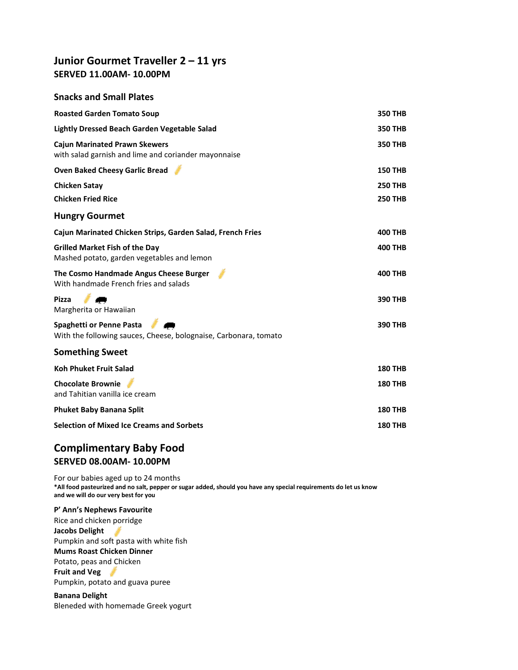# **Junior Gourmet Traveller 2 – 11 yrs SERVED 11.00AM- 10.00PM**

#### **Snacks and Small Plates**

| <b>Roasted Garden Tomato Soup</b>                                                                   | <b>350 THB</b> |
|-----------------------------------------------------------------------------------------------------|----------------|
| Lightly Dressed Beach Garden Vegetable Salad                                                        | <b>350 THB</b> |
| <b>Cajun Marinated Prawn Skewers</b><br>with salad garnish and lime and coriander mayonnaise        | <b>350 THB</b> |
| <b>Oven Baked Cheesy Garlic Bread</b>                                                               | <b>150 THB</b> |
| Chicken Satay                                                                                       | <b>250 THB</b> |
| <b>Chicken Fried Rice</b>                                                                           | <b>250 THB</b> |
| <b>Hungry Gourmet</b>                                                                               |                |
| Cajun Marinated Chicken Strips, Garden Salad, French Fries                                          | <b>400 THB</b> |
| <b>Grilled Market Fish of the Day</b><br>Mashed potato, garden vegetables and lemon                 | <b>400 THB</b> |
| The Cosmo Handmade Angus Cheese Burger<br>With handmade French fries and salads                     | <b>400 THB</b> |
| <b>Pizza</b><br>Margherita or Hawaiian                                                              | <b>390 THB</b> |
| <b>Spaghetti or Penne Pasta</b><br>With the following sauces, Cheese, bolognaise, Carbonara, tomato | <b>390 THB</b> |
| <b>Something Sweet</b>                                                                              |                |
| <b>Koh Phuket Fruit Salad</b>                                                                       | <b>180 THB</b> |
| <b>Chocolate Brownie</b><br>and Tahitian vanilla ice cream                                          | <b>180 THB</b> |
| <b>Phuket Baby Banana Split</b>                                                                     | <b>180 THB</b> |
| <b>Selection of Mixed Ice Creams and Sorbets</b>                                                    | <b>180 THB</b> |

# **Complimentary Baby Food SERVED 08.00AM- 10.00PM**

For our babies aged up to 24 months **\*All food pasteurized and no salt, pepper or sugar added, should you have any special requirements do let us know and we will do our very best for you**

#### **P' Ann's Nephews Favourite**

Rice and chicken porridge

**Jacobs Delight**  Pumpkin and soft pasta with white fish

## **Mums Roast Chicken Dinner**

Potato, peas and Chicken

#### **Fruit and Veg**

Pumpkin, potato and guava puree

**Banana Delight**  Bleneded with homemade Greek yogurt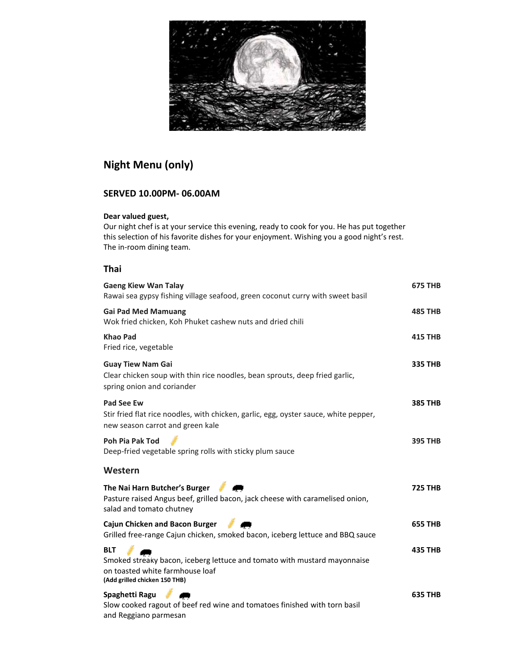

# **Night Menu (only)**

## **SERVED 10.00PM- 06.00AM**

#### **Dear valued guest,**

Our night chef is at your service this evening, ready to cook for you. He has put together this selection of his favorite dishes for your enjoyment. Wishing you a good night's rest. The in-room dining team.

#### **Thai**

| <b>Gaeng Kiew Wan Talay</b><br>Rawai sea gypsy fishing village seafood, green coconut curry with sweet basil                                               | <b>675 THB</b> |
|------------------------------------------------------------------------------------------------------------------------------------------------------------|----------------|
| <b>Gai Pad Med Mamuang</b><br>Wok fried chicken, Koh Phuket cashew nuts and dried chili                                                                    | <b>485 THB</b> |
| <b>Khao Pad</b><br>Fried rice, vegetable                                                                                                                   | <b>415 THB</b> |
| <b>Guay Tiew Nam Gai</b><br>Clear chicken soup with thin rice noodles, bean sprouts, deep fried garlic,<br>spring onion and coriander                      | <b>335 THB</b> |
| <b>Pad See Ew</b><br>Stir fried flat rice noodles, with chicken, garlic, egg, oyster sauce, white pepper,<br>new season carrot and green kale              | <b>385 THB</b> |
| Poh Pia Pak Tod<br>Deep-fried vegetable spring rolls with sticky plum sauce                                                                                | <b>395 THB</b> |
| Western                                                                                                                                                    |                |
| The Nai Harn Butcher's Burger<br>Pasture raised Angus beef, grilled bacon, jack cheese with caramelised onion,<br>salad and tomato chutney                 | <b>725 THB</b> |
| Cajun Chicken and Bacon Burger<br>Grilled free-range Cajun chicken, smoked bacon, iceberg lettuce and BBQ sauce                                            | <b>655 THB</b> |
| <b>BLT</b><br>Smoked streaky bacon, iceberg lettuce and tomato with mustard mayonnaise<br>on toasted white farmhouse loaf<br>(Add grilled chicken 150 THB) | <b>435 THB</b> |
| Spaghetti Ragu<br>Slow cooked ragout of beef red wine and tomatoes finished with torn basil<br>and Reggiano parmesan                                       | <b>635 THB</b> |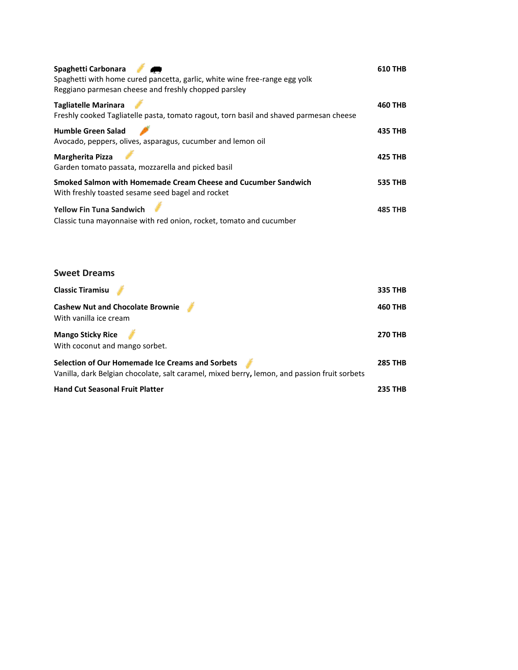| Spaghetti Carbonara<br>Spaghetti with home cured pancetta, garlic, white wine free-range egg yolk<br>Reggiano parmesan cheese and freshly chopped parsley | <b>610 THB</b> |
|-----------------------------------------------------------------------------------------------------------------------------------------------------------|----------------|
| <b>Tagliatelle Marinara</b><br>Freshly cooked Tagliatelle pasta, tomato ragout, torn basil and shaved parmesan cheese                                     | <b>460 THB</b> |
| <b>Humble Green Salad</b><br>Avocado, peppers, olives, asparagus, cucumber and lemon oil                                                                  | <b>435 THB</b> |
| <b>Margherita Pizza</b><br>Garden tomato passata, mozzarella and picked basil                                                                             | <b>425 THB</b> |
| Smoked Salmon with Homemade Cream Cheese and Cucumber Sandwich<br>With freshly toasted sesame seed bagel and rocket                                       | <b>535 THB</b> |
| <b>Yellow Fin Tuna Sandwich</b><br>Classic tuna mayonnaise with red onion, rocket, tomato and cucumber                                                    | <b>485 THB</b> |

| <b>Sweet Dreams</b>                                                                                                                              |                |
|--------------------------------------------------------------------------------------------------------------------------------------------------|----------------|
| <b>Classic Tiramisu</b>                                                                                                                          | <b>335 THB</b> |
| <b>Cashew Nut and Chocolate Brownie</b><br>With vanilla ice cream                                                                                | <b>460 THB</b> |
| <b>Mango Sticky Rice</b><br>With coconut and mango sorbet.                                                                                       | <b>270 THB</b> |
| Selection of Our Homemade Ice Creams and Sorbets<br>Vanilla, dark Belgian chocolate, salt caramel, mixed berry, lemon, and passion fruit sorbets | <b>285 THB</b> |
| <b>Hand Cut Seasonal Fruit Platter</b>                                                                                                           | <b>235 THB</b> |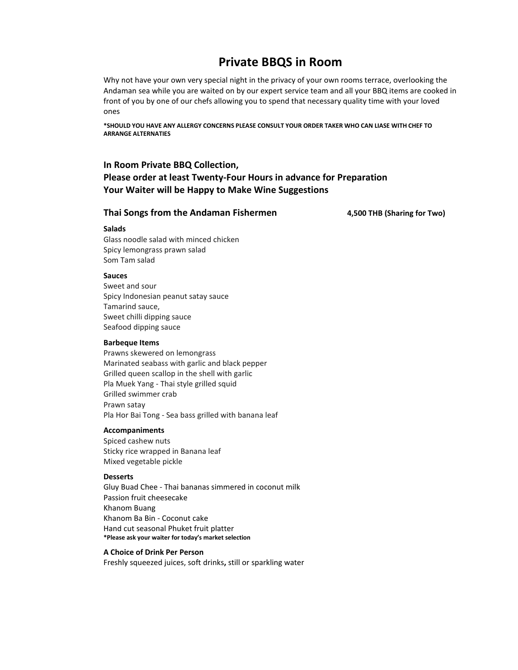# **Private BBQS in Room**

Why not have your own very special night in the privacy of your own rooms terrace, overlooking the Andaman sea while you are waited on by our expert service team and all your BBQ items are cooked in front of you by one of our chefs allowing you to spend that necessary quality time with your loved ones

**\*SHOULD YOU HAVE ANY ALLERGY CONCERNS PLEASE CONSULT YOUR ORDER TAKER WHO CAN LIASE WITH CHEF TO ARRANGE ALTERNATIES** 

#### **In Room Private BBQ Collection,**

### **Please order at least Twenty-Four Hours in advance for Preparation Your Waiter will be Happy to Make Wine Suggestions**

#### **Thai Songs from the Andaman Fishermen 4,500 THB (Sharing for Two)**

#### **Salads**

Glass noodle salad with minced chicken Spicy lemongrass prawn salad Som Tam salad

#### **Sauces**

Sweet and sour Spicy Indonesian peanut satay sauce Tamarind sauce, Sweet chilli dipping sauce Seafood dipping sauce

#### **Barbeque Items**

Prawns skewered on lemongrass Marinated seabass with garlic and black pepper Grilled queen scallop in the shell with garlic Pla Muek Yang - Thai style grilled squid Grilled swimmer crab Prawn satay Pla Hor Bai Tong - Sea bass grilled with banana leaf

#### **Accompaniments**

Spiced cashew nuts Sticky rice wrapped in Banana leaf Mixed vegetable pickle

#### **Desserts**

Gluy Buad Chee - Thai bananas simmered in coconut milk Passion fruit cheesecake Khanom Buang Khanom Ba Bin - Coconut cake Hand cut seasonal Phuket fruit platter **\*Please ask your waiter for today's market selection**

#### **A Choice of Drink Per Person**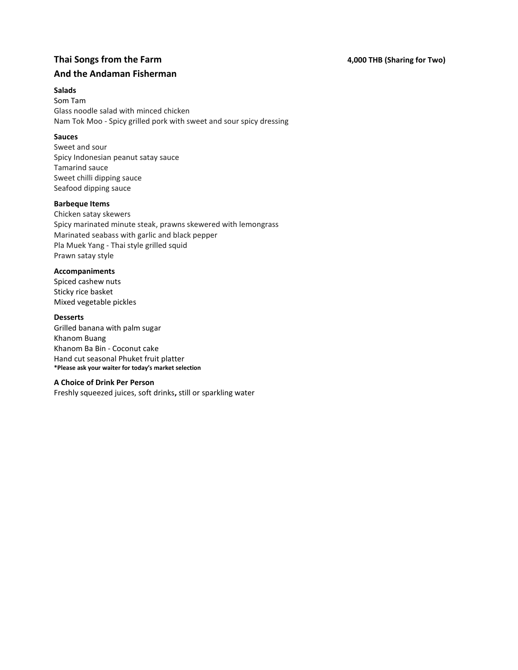# **Thai Songs from the Farm 1.1 Thai Songs from the Farm 1.1 Thai Songs from the Farm 1.1 Thai Songs from the Farm And the Andaman Fisherman**

#### **Salads**

Som Tam Glass noodle salad with minced chicken Nam Tok Moo - Spicy grilled pork with sweet and sour spicy dressing

#### **Sauces**

Sweet and sour Spicy Indonesian peanut satay sauce Tamarind sauce Sweet chilli dipping sauce Seafood dipping sauce

#### **Barbeque Items**

Chicken satay skewers Spicy marinated minute steak, prawns skewered with lemongrass Marinated seabass with garlic and black pepper Pla Muek Yang - Thai style grilled squid Prawn satay style

#### **Accompaniments**

Spiced cashew nuts Sticky rice basket Mixed vegetable pickles

#### **Desserts**

Grilled banana with palm sugar Khanom Buang Khanom Ba Bin - Coconut cake Hand cut seasonal Phuket fruit platter **\*Please ask your waiter for today's market selection**

#### **A Choice of Drink Per Person**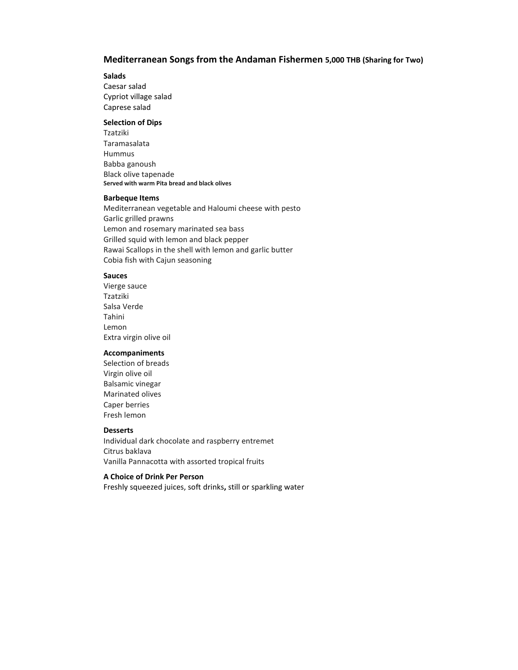#### **Mediterranean Songs from the Andaman Fishermen 5,000 THB (Sharing for Two)**

#### **Salads**

Caesar salad Cypriot village salad Caprese salad

#### **Selection of Dips**

Tzatziki Taramasalata Hummus Babba ganoush Black olive tapenade **Served with warm Pita bread and black olives**

#### **Barbeque Items**

Mediterranean vegetable and Haloumi cheese with pesto Garlic grilled prawns Lemon and rosemary marinated sea bass Grilled squid with lemon and black pepper Rawai Scallops in the shell with lemon and garlic butter Cobia fish with Cajun seasoning

#### **Sauces**

Vierge sauce Tzatziki Salsa Verde Tahini Lemon Extra virgin olive oil

#### **Accompaniments**

Selection of breads Virgin olive oil Balsamic vinegar Marinated olives Caper berries Fresh lemon

#### **Desserts**

Individual dark chocolate and raspberry entremet Citrus baklava Vanilla Pannacotta with assorted tropical fruits

#### **A Choice of Drink Per Person**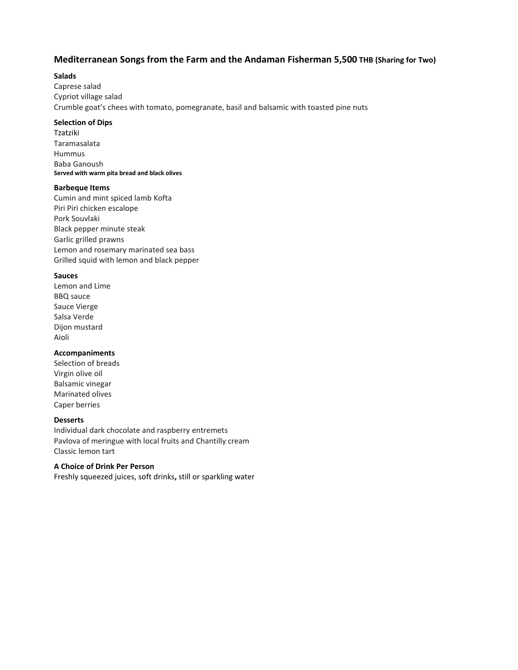#### **Mediterranean Songs from the Farm and the Andaman Fisherman 5,500 THB (Sharing for Two)**

#### **Salads**

Caprese salad Cypriot village salad Crumble goat's chees with tomato, pomegranate, basil and balsamic with toasted pine nuts

#### **Selection of Dips**

Tzatziki Taramasalata Hummus Baba Ganoush **Served with warm pita bread and black olives**

#### **Barbeque Items**

Cumin and mint spiced lamb Kofta Piri Piri chicken escalope Pork Souvlaki Black pepper minute steak Garlic grilled prawns Lemon and rosemary marinated sea bass Grilled squid with lemon and black pepper

#### **Sauces**

Lemon and Lime BBQ sauce Sauce Vierge Salsa Verde Dijon mustard Aioli

#### **Accompaniments**

Selection of breads Virgin olive oil Balsamic vinegar Marinated olives Caper berries

#### **Desserts**

Individual dark chocolate and raspberry entremets Pavlova of meringue with local fruits and Chantilly cream Classic lemon tart

#### **A Choice of Drink Per Person**